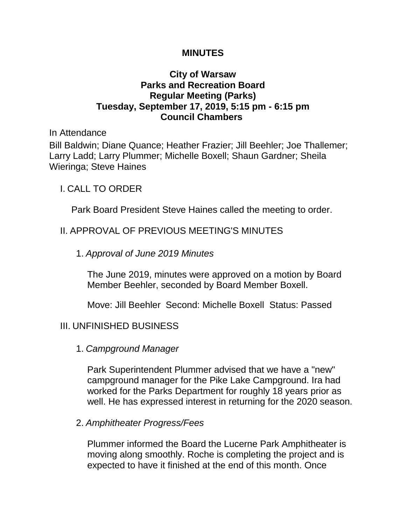#### **MINUTES**

### **City of Warsaw Parks and Recreation Board Regular Meeting (Parks) Tuesday, September 17, 2019, 5:15 pm - 6:15 pm Council Chambers**

In Attendance

Bill Baldwin; Diane Quance; Heather Frazier; Jill Beehler; Joe Thallemer; Larry Ladd; Larry Plummer; Michelle Boxell; Shaun Gardner; Sheila Wieringa; Steve Haines

I. CALL TO ORDER

Park Board President Steve Haines called the meeting to order.

## II. APPROVAL OF PREVIOUS MEETING'S MINUTES

### 1. *Approval of June 2019 Minutes*

The June 2019, minutes were approved on a motion by Board Member Beehler, seconded by Board Member Boxell.

Move: Jill Beehler Second: Michelle Boxell Status: Passed

## III. UNFINISHED BUSINESS

1. *Campground Manager*

Park Superintendent Plummer advised that we have a "new" campground manager for the Pike Lake Campground. Ira had worked for the Parks Department for roughly 18 years prior as well. He has expressed interest in returning for the 2020 season.

2. *Amphitheater Progress/Fees*

Plummer informed the Board the Lucerne Park Amphitheater is moving along smoothly. Roche is completing the project and is expected to have it finished at the end of this month. Once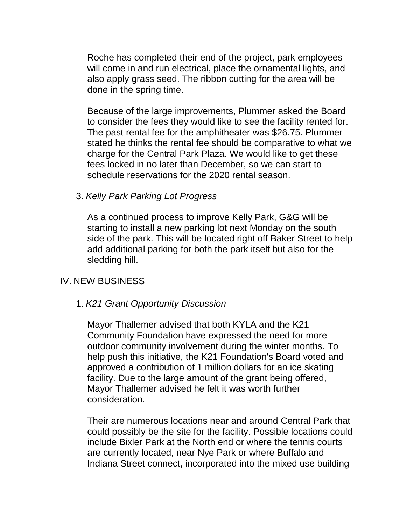Roche has completed their end of the project, park employees will come in and run electrical, place the ornamental lights, and also apply grass seed. The ribbon cutting for the area will be done in the spring time.

Because of the large improvements, Plummer asked the Board to consider the fees they would like to see the facility rented for. The past rental fee for the amphitheater was \$26.75. Plummer stated he thinks the rental fee should be comparative to what we charge for the Central Park Plaza. We would like to get these fees locked in no later than December, so we can start to schedule reservations for the 2020 rental season.

3. *Kelly Park Parking Lot Progress*

As a continued process to improve Kelly Park, G&G will be starting to install a new parking lot next Monday on the south side of the park. This will be located right off Baker Street to help add additional parking for both the park itself but also for the sledding hill.

## IV. NEW BUSINESS

### 1. *K21 Grant Opportunity Discussion*

Mayor Thallemer advised that both KYLA and the K21 Community Foundation have expressed the need for more outdoor community involvement during the winter months. To help push this initiative, the K21 Foundation's Board voted and approved a contribution of 1 million dollars for an ice skating facility. Due to the large amount of the grant being offered, Mayor Thallemer advised he felt it was worth further consideration.

Their are numerous locations near and around Central Park that could possibly be the site for the facility. Possible locations could include Bixler Park at the North end or where the tennis courts are currently located, near Nye Park or where Buffalo and Indiana Street connect, incorporated into the mixed use building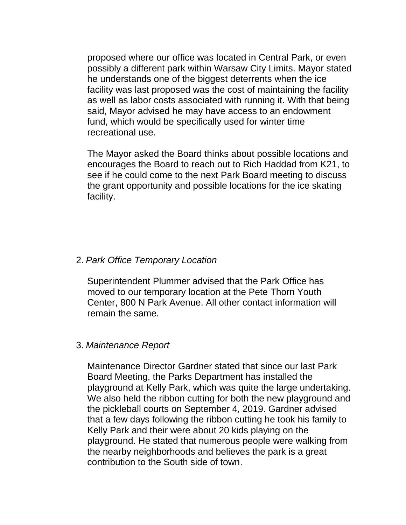proposed where our office was located in Central Park, or even possibly a different park within Warsaw City Limits. Mayor stated he understands one of the biggest deterrents when the ice facility was last proposed was the cost of maintaining the facility as well as labor costs associated with running it. With that being said, Mayor advised he may have access to an endowment fund, which would be specifically used for winter time recreational use.

The Mayor asked the Board thinks about possible locations and encourages the Board to reach out to Rich Haddad from K21, to see if he could come to the next Park Board meeting to discuss the grant opportunity and possible locations for the ice skating facility.

### 2. *Park Office Temporary Location*

Superintendent Plummer advised that the Park Office has moved to our temporary location at the Pete Thorn Youth Center, 800 N Park Avenue. All other contact information will remain the same.

#### 3. *Maintenance Report*

Maintenance Director Gardner stated that since our last Park Board Meeting, the Parks Department has installed the playground at Kelly Park, which was quite the large undertaking. We also held the ribbon cutting for both the new playground and the pickleball courts on September 4, 2019. Gardner advised that a few days following the ribbon cutting he took his family to Kelly Park and their were about 20 kids playing on the playground. He stated that numerous people were walking from the nearby neighborhoods and believes the park is a great contribution to the South side of town.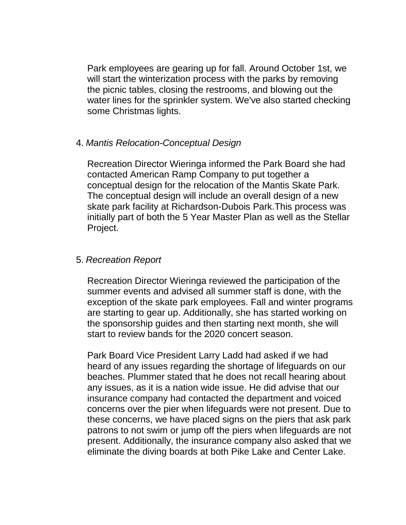Park employees are gearing up for fall. Around October 1st, we will start the winterization process with the parks by removing the picnic tables, closing the restrooms, and blowing out the water lines for the sprinkler system. We've also started checking some Christmas lights.

#### 4. *Mantis Relocation-Conceptual Design*

Recreation Director Wieringa informed the Park Board she had contacted American Ramp Company to put together a conceptual design for the relocation of the Mantis Skate Park. The conceptual design will include an overall design of a new skate park facility at Richardson-Dubois Park.This process was initially part of both the 5 Year Master Plan as well as the Stellar Project.

### 5. *Recreation Report*

Recreation Director Wieringa reviewed the participation of the summer events and advised all summer staff is done, with the exception of the skate park employees. Fall and winter programs are starting to gear up. Additionally, she has started working on the sponsorship guides and then starting next month, she will start to review bands for the 2020 concert season.

Park Board Vice President Larry Ladd had asked if we had heard of any issues regarding the shortage of lifeguards on our beaches. Plummer stated that he does not recall hearing about any issues, as it is a nation wide issue. He did advise that our insurance company had contacted the department and voiced concerns over the pier when lifeguards were not present. Due to these concerns, we have placed signs on the piers that ask park patrons to not swim or jump off the piers when lifeguards are not present. Additionally, the insurance company also asked that we eliminate the diving boards at both Pike Lake and Center Lake.